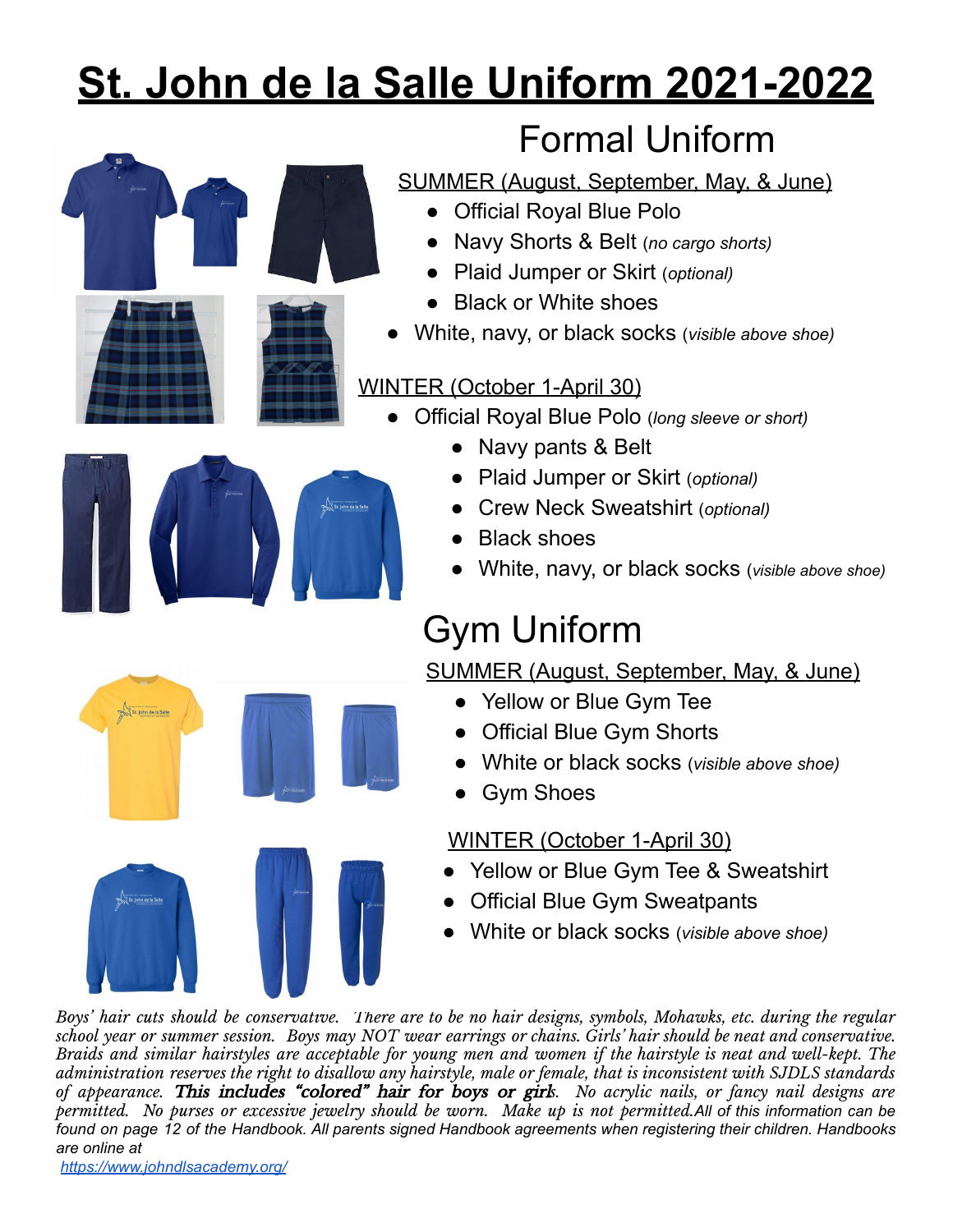# **St. John de la Salle Uniform 2021-2022**



### Formal Uniform

SUMMER (August, September, May, & June)

- Official Royal Blue Polo
- Navy Shorts & Belt (*no cargo shorts)*
- Plaid Jumper or Skirt (*optional)*
- **Black or White shoes**
- White, navy, or black socks (*visible above shoe)*

#### WINTER (October 1-April 30)

- Official Royal Blue Polo (*long sleeve or short)*
	- Navy pants & Belt
	- Plaid Jumper or Skirt (*optional)*
	- *●* Crew Neck Sweatshirt (*optional)*
	- *●* Black shoes
	- White, navy, or black socks (*visible above shoe)*

## Gym Uniform

SUMMER (August, September, May, & June)

- Yellow or Blue Gym Tee
- Official Blue Gym Shorts
- White or black socks (*visible above shoe)*
- **Gym Shoes**

#### WINTER (October 1-April 30)

- Yellow or Blue Gym Tee & Sweatshirt
- Official Blue Gym Sweatpants
- White or black socks (*visible above shoe)*

Boys' hair cuts should be conservative. There are to be no hair designs, symbols, Mohawks, etc. during the regular school year or summer session. Boys may NOT wear earrings or chains. Girls' hair should be neat and conservative. Braids and similar hairstyles are acceptable for young men and women if the hairstyle is neat and well-kept. The administration reserves the right to disallow any hairstyle, male or female, that is inconsistent with SJDLS standards *of appearance.* This includes "colored" hair for boys or girl*s. No acrylic nails, or fancy nail designs are* permitted. No purses or excessive jewelry should be worn. Make up is not permitted. All of this information can be found on page 12 of the Handbook. All parents signed Handbook agreements when registering their children. Handbooks *are online at*

*<https://www.johndlsacademy.org/>*

St. John de la Salle